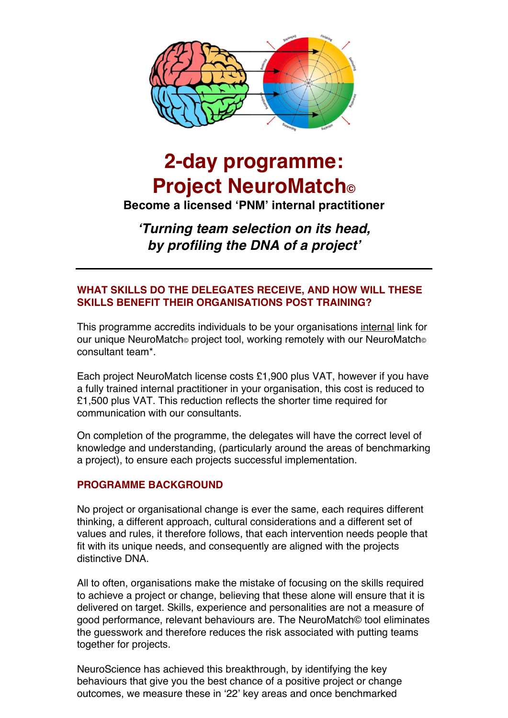

# **2-day programme: Project NeuroMatch©**

**Become a licensed 'PNM' internal practitioner**

*'Turning team selection on its head, by profiling the DNA of a project'*

## **WHAT SKILLS DO THE DELEGATES RECEIVE, AND HOW WILL THESE SKILLS BENEFIT THEIR ORGANISATIONS POST TRAINING?**

This programme accredits individuals to be your organisations internal link for our unique NeuroMatch<sup>®</sup> project tool, working remotely with our NeuroMatch<sup>®</sup> consultant team\*.

Each project NeuroMatch license costs £1,900 plus VAT, however if you have a fully trained internal practitioner in your organisation, this cost is reduced to £1,500 plus VAT. This reduction reflects the shorter time required for communication with our consultants.

On completion of the programme, the delegates will have the correct level of knowledge and understanding, (particularly around the areas of benchmarking a project), to ensure each projects successful implementation.

## **PROGRAMME BACKGROUND**

No project or organisational change is ever the same, each requires different thinking, a different approach, cultural considerations and a different set of values and rules, it therefore follows, that each intervention needs people that fit with its unique needs, and consequently are aligned with the projects distinctive DNA.

All to often, organisations make the mistake of focusing on the skills required to achieve a project or change, believing that these alone will ensure that it is delivered on target. Skills, experience and personalities are not a measure of good performance, relevant behaviours are. The NeuroMatch© tool eliminates the guesswork and therefore reduces the risk associated with putting teams together for projects.

NeuroScience has achieved this breakthrough, by identifying the key behaviours that give you the best chance of a positive project or change outcomes, we measure these in '22' key areas and once benchmarked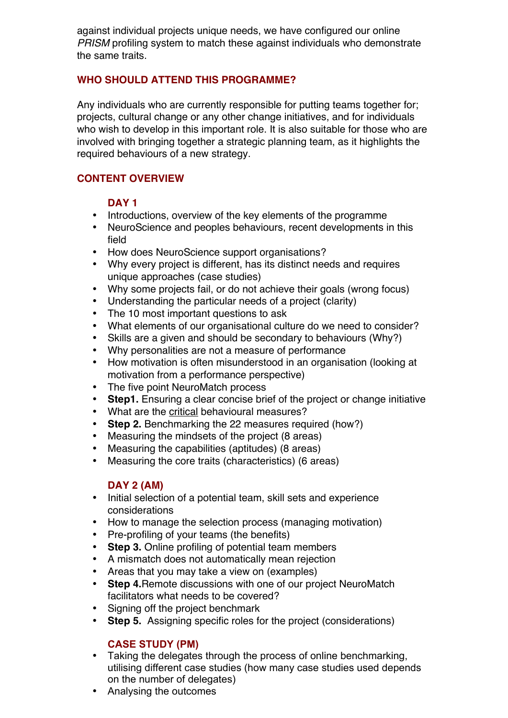against individual projects unique needs, we have configured our online *PRISM* profiling system to match these against individuals who demonstrate the same traits.

## **WHO SHOULD ATTEND THIS PROGRAMME?**

Any individuals who are currently responsible for putting teams together for; projects, cultural change or any other change initiatives, and for individuals who wish to develop in this important role. It is also suitable for those who are involved with bringing together a strategic planning team, as it highlights the required behaviours of a new strategy.

## **CONTENT OVERVIEW**

## **DAY 1**

- Introductions, overview of the key elements of the programme
- NeuroScience and peoples behaviours, recent developments in this field
- How does NeuroScience support organisations?
- Why every project is different, has its distinct needs and requires unique approaches (case studies)
- Why some projects fail, or do not achieve their goals (wrong focus)
- Understanding the particular needs of a project (clarity)
- The 10 most important questions to ask
- What elements of our organisational culture do we need to consider?
- Skills are a given and should be secondary to behaviours (Why?)
- Why personalities are not a measure of performance
- How motivation is often misunderstood in an organisation (looking at motivation from a performance perspective)
- The five point NeuroMatch process
- **Step1.** Ensuring a clear concise brief of the project or change initiative
- What are the critical behavioural measures?
- **Step 2.** Benchmarking the 22 measures required (how?)
- Measuring the mindsets of the project (8 areas)
- Measuring the capabilities (aptitudes) (8 areas)
- Measuring the core traits (characteristics) (6 areas)

## **DAY 2 (AM)**

- Initial selection of a potential team, skill sets and experience considerations
- How to manage the selection process (managing motivation)
- Pre-profiling of your teams (the benefits)
- **Step 3.** Online profiling of potential team members
- A mismatch does not automatically mean rejection
- Areas that you may take a view on (examples)
- **Step 4.**Remote discussions with one of our project NeuroMatch facilitators what needs to be covered?
- Signing off the project benchmark
- **Step 5.** Assigning specific roles for the project (considerations)

## **CASE STUDY (PM)**

- Taking the delegates through the process of online benchmarking, utilising different case studies (how many case studies used depends on the number of delegates)
- Analysing the outcomes